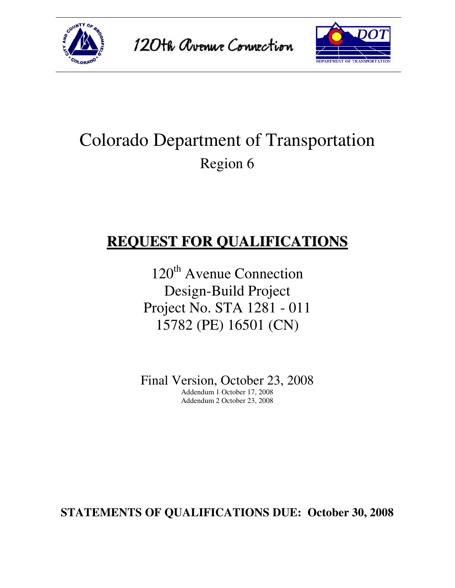





# Colorado Department of Transportation Region 6

# **REQUEST FOR QUALIFICATIONS**

120<sup>th</sup> Avenue Connection Design-Build Project Project No. STA 1281 - 011 15782 (PE) 16501 (CN)

Final Version, October 23, 2008 Addendum 1 October 17, 2008 Addendum 2 October 23, 2008

**STATEMENTS OF QUALIFICATIONS DUE: October 30, 2008**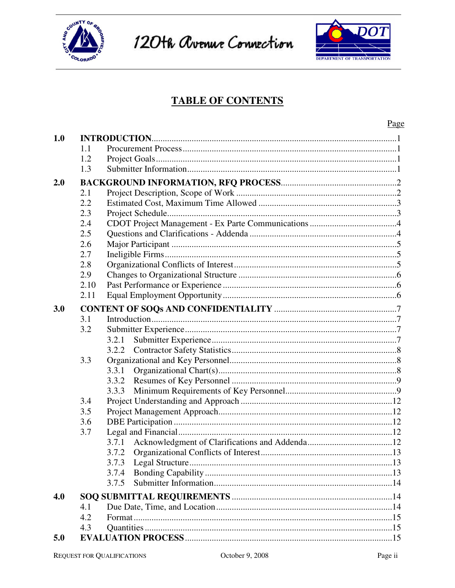

120th Avenue Connection



### **TABLE OF CONTENTS**

|     |      |       | <u>Page</u> |
|-----|------|-------|-------------|
| 1.0 |      |       |             |
|     | 1.1  |       |             |
|     | 1.2  |       |             |
|     | 1.3  |       |             |
| 2.0 |      |       |             |
|     | 2.1  |       |             |
|     | 2.2  |       |             |
|     | 2.3  |       |             |
|     | 2.4  |       |             |
|     | 2.5  |       |             |
|     | 2.6  |       |             |
|     | 2.7  |       |             |
|     | 2.8  |       |             |
|     | 2.9  |       |             |
|     | 2.10 |       |             |
|     | 2.11 |       |             |
| 3.0 |      |       |             |
|     | 3.1  |       |             |
|     | 3.2  |       |             |
|     |      | 3.2.1 |             |
|     |      | 3.2.2 |             |
|     | 3.3  |       |             |
|     |      |       |             |
|     |      |       |             |
|     |      | 3.3.3 |             |
|     | 3.4  |       |             |
|     | 3.5  |       |             |
|     | 3.6  |       |             |
|     | 3.7  |       |             |
|     |      |       |             |
|     |      | 3.7.2 |             |
|     |      | 3.7.3 |             |
|     |      | 3.7.4 |             |
|     |      | 3.7.5 |             |
| 4.0 |      |       |             |
|     | 4.1  |       |             |
|     | 4.2  |       |             |
|     | 4.3  |       |             |
| 5.0 |      |       |             |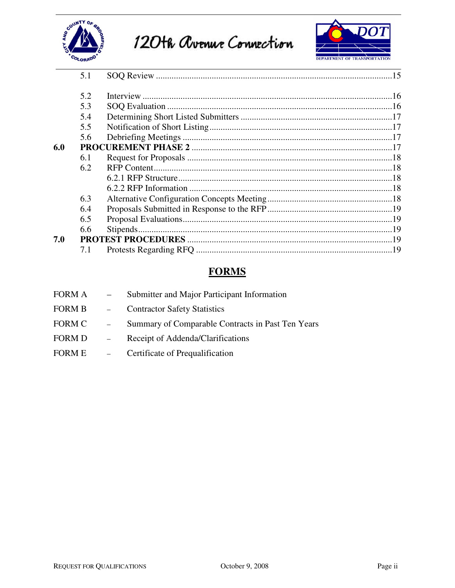





|     | 5.1 |  |
|-----|-----|--|
|     |     |  |
|     | 5.2 |  |
|     | 5.3 |  |
|     | 5.4 |  |
|     | 5.5 |  |
|     | 5.6 |  |
| 6.0 |     |  |
|     | 6.1 |  |
|     | 6.2 |  |
|     |     |  |
|     |     |  |
|     | 6.3 |  |
|     | 6.4 |  |
|     | 6.5 |  |
|     | 6.6 |  |
| 7.0 |     |  |
|     | 7.1 |  |

## **FORMS**

| FORM A | $\frac{1}{2}$ | Submitter and Major Participant Information       |
|--------|---------------|---------------------------------------------------|
| FORM B | $\sim$ $-$    | <b>Contractor Safety Statistics</b>               |
| FORM C | $\sim$ $-$    | Summary of Comparable Contracts in Past Ten Years |
| FORM D |               | Receipt of Addenda/Clarifications                 |
| FORM E | $\sim$ $-$    | Certificate of Prequalification                   |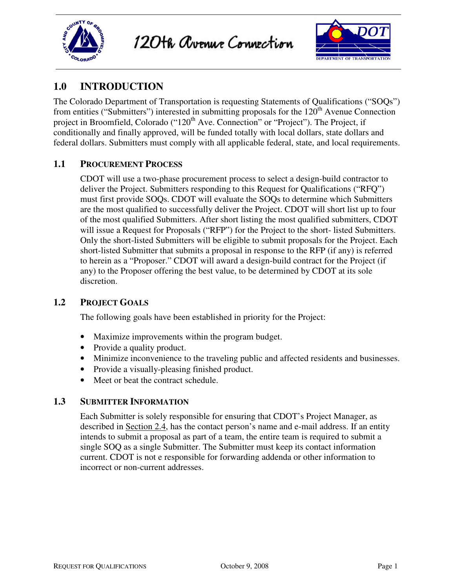



### **1.0 INTRODUCTION**

The Colorado Department of Transportation is requesting Statements of Qualifications ("SOQs") from entities ("Submitters") interested in submitting proposals for the 120<sup>th</sup> Avenue Connection project in Broomfield, Colorado ("120<sup>th</sup> Ave. Connection" or "Project"). The Project, if conditionally and finally approved, will be funded totally with local dollars, state dollars and federal dollars. Submitters must comply with all applicable federal, state, and local requirements.

#### **1.1 PROCUREMENT PROCESS**

CDOT will use a two-phase procurement process to select a design-build contractor to deliver the Project. Submitters responding to this Request for Qualifications ("RFQ") must first provide SOQs. CDOT will evaluate the SOQs to determine which Submitters are the most qualified to successfully deliver the Project. CDOT will short list up to four of the most qualified Submitters. After short listing the most qualified submitters, CDOT will issue a Request for Proposals ("RFP") for the Project to the short- listed Submitters. Only the short-listed Submitters will be eligible to submit proposals for the Project. Each short-listed Submitter that submits a proposal in response to the RFP (if any) is referred to herein as a "Proposer." CDOT will award a design-build contract for the Project (if any) to the Proposer offering the best value, to be determined by CDOT at its sole discretion.

#### **1.2 PROJECT GOALS**

The following goals have been established in priority for the Project:

- Maximize improvements within the program budget.
- Provide a quality product.
- Minimize inconvenience to the traveling public and affected residents and businesses.
- Provide a visually-pleasing finished product.
- Meet or beat the contract schedule.

#### **1.3 SUBMITTER INFORMATION**

Each Submitter is solely responsible for ensuring that CDOT's Project Manager, as described in Section 2.4, has the contact person's name and e-mail address. If an entity intends to submit a proposal as part of a team, the entire team is required to submit a single SOQ as a single Submitter. The Submitter must keep its contact information current. CDOT is not e responsible for forwarding addenda or other information to incorrect or non-current addresses.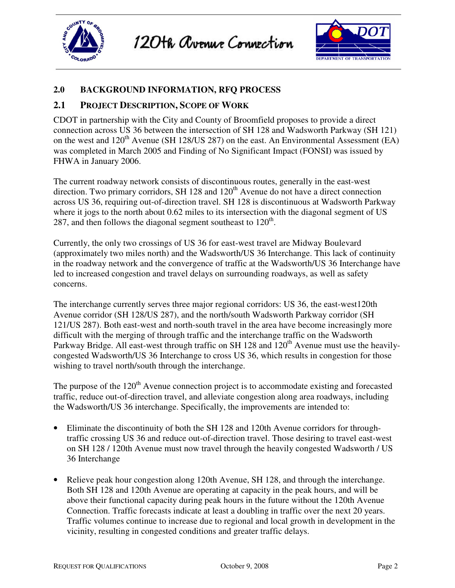



#### **2.0 BACKGROUND INFORMATION, RFQ PROCESS**

#### **2.1 PROJECT DESCRIPTION, SCOPE OF WORK**

CDOT in partnership with the City and County of Broomfield proposes to provide a direct connection across US 36 between the intersection of SH 128 and Wadsworth Parkway (SH 121) on the west and  $120^{th}$  Avenue (SH 128/US 287) on the east. An Environmental Assessment (EA) was completed in March 2005 and Finding of No Significant Impact (FONSI) was issued by FHWA in January 2006.

The current roadway network consists of discontinuous routes, generally in the east-west direction. Two primary corridors, SH 128 and  $120<sup>th</sup>$  Avenue do not have a direct connection across US 36, requiring out-of-direction travel. SH 128 is discontinuous at Wadsworth Parkway where it jogs to the north about 0.62 miles to its intersection with the diagonal segment of US 287, and then follows the diagonal segment southeast to  $120<sup>th</sup>$ .

Currently, the only two crossings of US 36 for east-west travel are Midway Boulevard (approximately two miles north) and the Wadsworth/US 36 Interchange. This lack of continuity in the roadway network and the convergence of traffic at the Wadsworth/US 36 Interchange have led to increased congestion and travel delays on surrounding roadways, as well as safety concerns.

The interchange currently serves three major regional corridors: US 36, the east-west120th Avenue corridor (SH 128/US 287), and the north/south Wadsworth Parkway corridor (SH 121/US 287). Both east-west and north-south travel in the area have become increasingly more difficult with the merging of through traffic and the interchange traffic on the Wadsworth Parkway Bridge. All east-west through traffic on SH 128 and 120<sup>th</sup> Avenue must use the heavilycongested Wadsworth/US 36 Interchange to cross US 36, which results in congestion for those wishing to travel north/south through the interchange.

The purpose of the  $120<sup>th</sup>$  Avenue connection project is to accommodate existing and forecasted traffic, reduce out-of-direction travel, and alleviate congestion along area roadways, including the Wadsworth/US 36 interchange. Specifically, the improvements are intended to:

- Eliminate the discontinuity of both the SH 128 and 120th Avenue corridors for throughtraffic crossing US 36 and reduce out-of-direction travel. Those desiring to travel east-west on SH 128 / 120th Avenue must now travel through the heavily congested Wadsworth / US 36 Interchange
- Relieve peak hour congestion along 120th Avenue, SH 128, and through the interchange. Both SH 128 and 120th Avenue are operating at capacity in the peak hours, and will be above their functional capacity during peak hours in the future without the 120th Avenue Connection. Traffic forecasts indicate at least a doubling in traffic over the next 20 years. Traffic volumes continue to increase due to regional and local growth in development in the vicinity, resulting in congested conditions and greater traffic delays.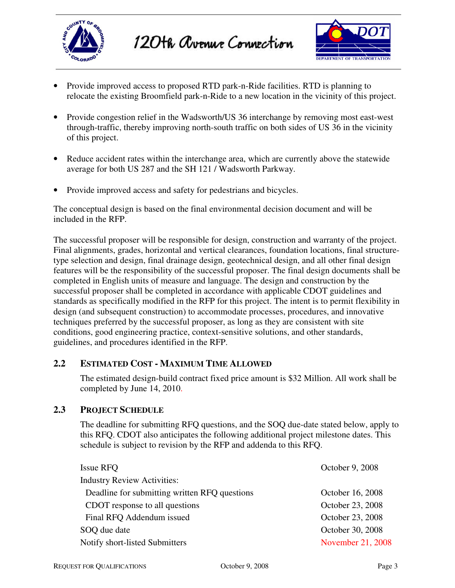



- Provide improved access to proposed RTD park-n-Ride facilities. RTD is planning to relocate the existing Broomfield park-n-Ride to a new location in the vicinity of this project.
- Provide congestion relief in the Wadsworth/US 36 interchange by removing most east-west through-traffic, thereby improving north-south traffic on both sides of US 36 in the vicinity of this project.
- Reduce accident rates within the interchange area, which are currently above the statewide average for both US 287 and the SH 121 / Wadsworth Parkway.
- Provide improved access and safety for pedestrians and bicycles.

The conceptual design is based on the final environmental decision document and will be included in the RFP.

The successful proposer will be responsible for design, construction and warranty of the project. Final alignments, grades, horizontal and vertical clearances, foundation locations, final structuretype selection and design, final drainage design, geotechnical design, and all other final design features will be the responsibility of the successful proposer. The final design documents shall be completed in English units of measure and language. The design and construction by the successful proposer shall be completed in accordance with applicable CDOT guidelines and standards as specifically modified in the RFP for this project. The intent is to permit flexibility in design (and subsequent construction) to accommodate processes, procedures, and innovative techniques preferred by the successful proposer, as long as they are consistent with site conditions, good engineering practice, context-sensitive solutions, and other standards, guidelines, and procedures identified in the RFP.

#### **2.2 ESTIMATED COST - MAXIMUM TIME ALLOWED**

The estimated design-build contract fixed price amount is \$32 Million. All work shall be completed by June 14, 2010.

#### **2.3 PROJECT SCHEDULE**

The deadline for submitting RFQ questions, and the SOQ due-date stated below, apply to this RFQ. CDOT also anticipates the following additional project milestone dates. This schedule is subject to revision by the RFP and addenda to this RFQ.

| Issue RFQ                                     | October 9, 2008   |
|-----------------------------------------------|-------------------|
| <b>Industry Review Activities:</b>            |                   |
| Deadline for submitting written RFQ questions | October 16, 2008  |
| CDOT response to all questions                | October 23, 2008  |
| Final RFQ Addendum issued                     | October 23, 2008  |
| SOQ due date                                  | October 30, 2008  |
| Notify short-listed Submitters                | November 21, 2008 |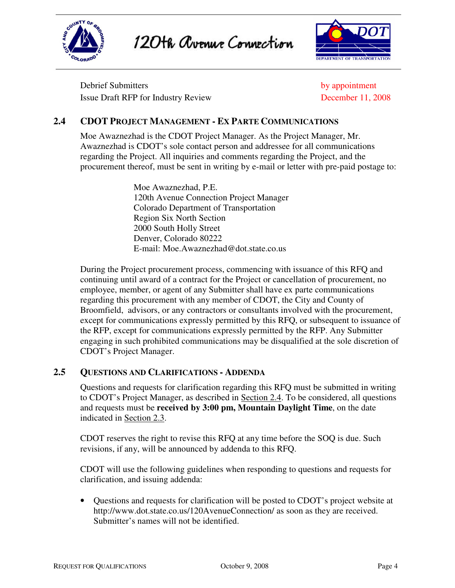

120th Avenue Connection



Debrief Submitters by appointment Issue Draft RFP for Industry Review December 11, 2008

#### **2.4 CDOT PROJECT MANAGEMENT - EX PARTE COMMUNICATIONS**

Moe Awaznezhad is the CDOT Project Manager. As the Project Manager, Mr. Awaznezhad is CDOT's sole contact person and addressee for all communications regarding the Project. All inquiries and comments regarding the Project, and the procurement thereof, must be sent in writing by e-mail or letter with pre-paid postage to:

> Moe Awaznezhad, P.E. 120th Avenue Connection Project Manager Colorado Department of Transportation Region Six North Section 2000 South Holly Street Denver, Colorado 80222 E-mail: Moe.Awaznezhad@dot.state.co.us

During the Project procurement process, commencing with issuance of this RFQ and continuing until award of a contract for the Project or cancellation of procurement, no employee, member, or agent of any Submitter shall have ex parte communications regarding this procurement with any member of CDOT, the City and County of Broomfield, advisors, or any contractors or consultants involved with the procurement, except for communications expressly permitted by this RFQ, or subsequent to issuance of the RFP, except for communications expressly permitted by the RFP. Any Submitter engaging in such prohibited communications may be disqualified at the sole discretion of CDOT's Project Manager.

#### **2.5 QUESTIONS AND CLARIFICATIONS - ADDENDA**

Questions and requests for clarification regarding this RFQ must be submitted in writing to CDOT's Project Manager, as described in Section 2.4. To be considered, all questions and requests must be **received by 3:00 pm, Mountain Daylight Time**, on the date indicated in Section 2.3.

CDOT reserves the right to revise this RFQ at any time before the SOQ is due. Such revisions, if any, will be announced by addenda to this RFQ.

CDOT will use the following guidelines when responding to questions and requests for clarification, and issuing addenda:

• Questions and requests for clarification will be posted to CDOT's project website at http://www.dot.state.co.us/120AvenueConnection/ as soon as they are received. Submitter's names will not be identified.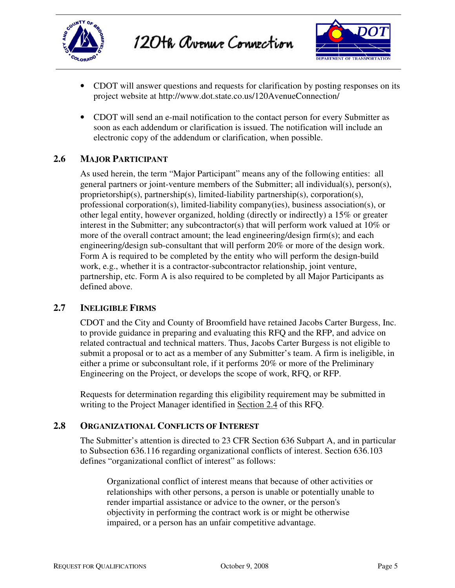



- CDOT will answer questions and requests for clarification by posting responses on its project website at http://www.dot.state.co.us/120AvenueConnection/
- CDOT will send an e-mail notification to the contact person for every Submitter as soon as each addendum or clarification is issued. The notification will include an electronic copy of the addendum or clarification, when possible.

#### **2.6 MAJOR PARTICIPANT**

As used herein, the term "Major Participant" means any of the following entities: all general partners or joint-venture members of the Submitter; all individual(s), person(s), proprietorship(s), partnership(s), limited-liability partnership(s), corporation(s), professional corporation(s), limited-liability company(ies), business association(s), or other legal entity, however organized, holding (directly or indirectly) a 15% or greater interest in the Submitter; any subcontractor(s) that will perform work valued at 10% or more of the overall contract amount; the lead engineering/design firm(s); and each engineering/design sub-consultant that will perform 20% or more of the design work. Form A is required to be completed by the entity who will perform the design-build work, e.g., whether it is a contractor-subcontractor relationship, joint venture, partnership, etc. Form A is also required to be completed by all Major Participants as defined above.

#### **2.7 INELIGIBLE FIRMS**

CDOT and the City and County of Broomfield have retained Jacobs Carter Burgess, Inc. to provide guidance in preparing and evaluating this RFQ and the RFP, and advice on related contractual and technical matters. Thus, Jacobs Carter Burgess is not eligible to submit a proposal or to act as a member of any Submitter's team. A firm is ineligible, in either a prime or subconsultant role, if it performs 20% or more of the Preliminary Engineering on the Project, or develops the scope of work, RFQ, or RFP.

Requests for determination regarding this eligibility requirement may be submitted in writing to the Project Manager identified in Section 2.4 of this RFQ.

#### **2.8 ORGANIZATIONAL CONFLICTS OF INTEREST**

The Submitter's attention is directed to 23 CFR Section 636 Subpart A, and in particular to Subsection 636.116 regarding organizational conflicts of interest. Section 636.103 defines "organizational conflict of interest" as follows:

Organizational conflict of interest means that because of other activities or relationships with other persons, a person is unable or potentially unable to render impartial assistance or advice to the owner, or the person's objectivity in performing the contract work is or might be otherwise impaired, or a person has an unfair competitive advantage.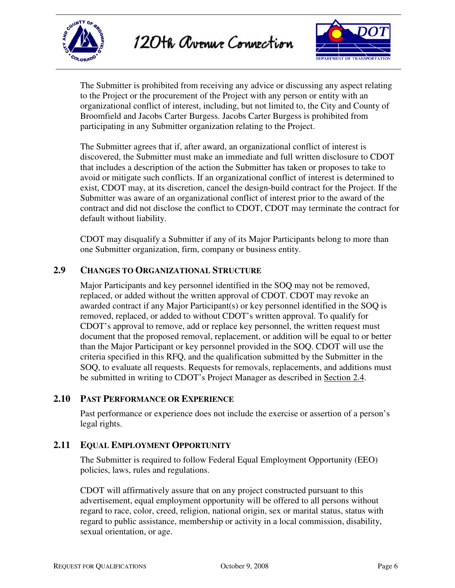



The Submitter is prohibited from receiving any advice or discussing any aspect relating to the Project or the procurement of the Project with any person or entity with an organizational conflict of interest, including, but not limited to, the City and County of Broomfield and Jacobs Carter Burgess. Jacobs Carter Burgess is prohibited from participating in any Submitter organization relating to the Project.

The Submitter agrees that if, after award, an organizational conflict of interest is discovered, the Submitter must make an immediate and full written disclosure to CDOT that includes a description of the action the Submitter has taken or proposes to take to avoid or mitigate such conflicts. If an organizational conflict of interest is determined to exist, CDOT may, at its discretion, cancel the design-build contract for the Project. If the Submitter was aware of an organizational conflict of interest prior to the award of the contract and did not disclose the conflict to CDOT, CDOT may terminate the contract for default without liability.

CDOT may disqualify a Submitter if any of its Major Participants belong to more than one Submitter organization, firm, company or business entity.

#### **2.9 CHANGES TO ORGANIZATIONAL STRUCTURE**

Major Participants and key personnel identified in the SOQ may not be removed, replaced, or added without the written approval of CDOT. CDOT may revoke an awarded contract if any Major Participant(s) or key personnel identified in the SOQ is removed, replaced, or added to without CDOT's written approval. To qualify for CDOT's approval to remove, add or replace key personnel, the written request must document that the proposed removal, replacement, or addition will be equal to or better than the Major Participant or key personnel provided in the SOQ. CDOT will use the criteria specified in this RFQ, and the qualification submitted by the Submitter in the SOQ, to evaluate all requests. Requests for removals, replacements, and additions must be submitted in writing to CDOT's Project Manager as described in Section 2.4.

#### **2.10 PAST PERFORMANCE OR EXPERIENCE**

Past performance or experience does not include the exercise or assertion of a person's legal rights.

#### **2.11 EQUAL EMPLOYMENT OPPORTUNITY**

The Submitter is required to follow Federal Equal Employment Opportunity (EEO) policies, laws, rules and regulations.

CDOT will affirmatively assure that on any project constructed pursuant to this advertisement, equal employment opportunity will be offered to all persons without regard to race, color, creed, religion, national origin, sex or marital status, status with regard to public assistance, membership or activity in a local commission, disability, sexual orientation, or age.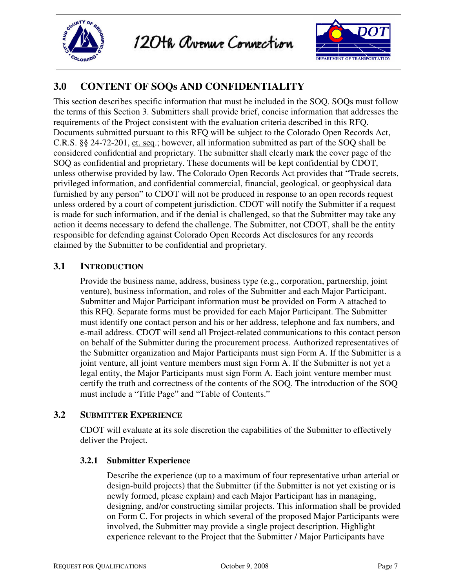



### **3.0 CONTENT OF SOQs AND CONFIDENTIALITY**

This section describes specific information that must be included in the SOQ. SOQs must follow the terms of this Section 3. Submitters shall provide brief, concise information that addresses the requirements of the Project consistent with the evaluation criteria described in this RFQ. Documents submitted pursuant to this RFQ will be subject to the Colorado Open Records Act, C.R.S. §§ 24-72-201, et. seq.; however, all information submitted as part of the SOQ shall be considered confidential and proprietary. The submitter shall clearly mark the cover page of the SOQ as confidential and proprietary. These documents will be kept confidential by CDOT, unless otherwise provided by law. The Colorado Open Records Act provides that "Trade secrets, privileged information, and confidential commercial, financial, geological, or geophysical data furnished by any person" to CDOT will not be produced in response to an open records request unless ordered by a court of competent jurisdiction. CDOT will notify the Submitter if a request is made for such information, and if the denial is challenged, so that the Submitter may take any action it deems necessary to defend the challenge. The Submitter, not CDOT, shall be the entity responsible for defending against Colorado Open Records Act disclosures for any records claimed by the Submitter to be confidential and proprietary.

#### **3.1 INTRODUCTION**

Provide the business name, address, business type (e.g., corporation, partnership, joint venture), business information, and roles of the Submitter and each Major Participant. Submitter and Major Participant information must be provided on Form A attached to this RFQ. Separate forms must be provided for each Major Participant. The Submitter must identify one contact person and his or her address, telephone and fax numbers, and e-mail address. CDOT will send all Project-related communications to this contact person on behalf of the Submitter during the procurement process. Authorized representatives of the Submitter organization and Major Participants must sign Form A. If the Submitter is a joint venture, all joint venture members must sign Form A. If the Submitter is not yet a legal entity, the Major Participants must sign Form A. Each joint venture member must certify the truth and correctness of the contents of the SOQ. The introduction of the SOQ must include a "Title Page" and "Table of Contents."

#### **3.2 SUBMITTER EXPERIENCE**

CDOT will evaluate at its sole discretion the capabilities of the Submitter to effectively deliver the Project.

#### **3.2.1 Submitter Experience**

Describe the experience (up to a maximum of four representative urban arterial or design-build projects) that the Submitter (if the Submitter is not yet existing or is newly formed, please explain) and each Major Participant has in managing, designing, and/or constructing similar projects. This information shall be provided on Form C. For projects in which several of the proposed Major Participants were involved, the Submitter may provide a single project description. Highlight experience relevant to the Project that the Submitter / Major Participants have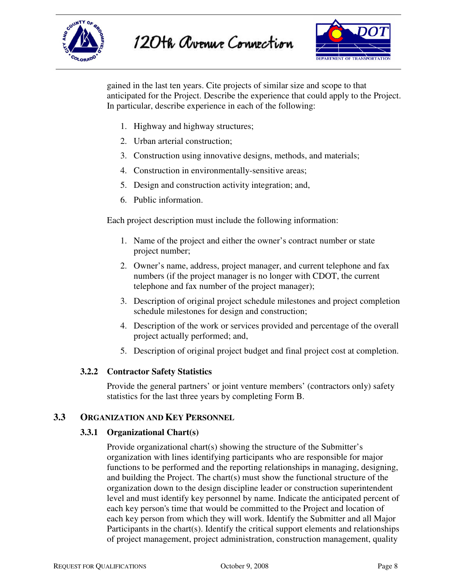



gained in the last ten years. Cite projects of similar size and scope to that anticipated for the Project. Describe the experience that could apply to the Project. In particular, describe experience in each of the following:

- 1. Highway and highway structures;
- 2. Urban arterial construction;
- 3. Construction using innovative designs, methods, and materials;
- 4. Construction in environmentally-sensitive areas;
- 5. Design and construction activity integration; and,
- 6. Public information.

Each project description must include the following information:

- 1. Name of the project and either the owner's contract number or state project number;
- 2. Owner's name, address, project manager, and current telephone and fax numbers (if the project manager is no longer with CDOT, the current telephone and fax number of the project manager);
- 3. Description of original project schedule milestones and project completion schedule milestones for design and construction;
- 4. Description of the work or services provided and percentage of the overall project actually performed; and,
- 5. Description of original project budget and final project cost at completion.

#### **3.2.2 Contractor Safety Statistics**

Provide the general partners' or joint venture members' (contractors only) safety statistics for the last three years by completing Form B.

#### **3.3 ORGANIZATION AND KEY PERSONNEL**

#### **3.3.1 Organizational Chart(s)**

Provide organizational chart(s) showing the structure of the Submitter's organization with lines identifying participants who are responsible for major functions to be performed and the reporting relationships in managing, designing, and building the Project. The chart(s) must show the functional structure of the organization down to the design discipline leader or construction superintendent level and must identify key personnel by name. Indicate the anticipated percent of each key person's time that would be committed to the Project and location of each key person from which they will work. Identify the Submitter and all Major Participants in the chart(s). Identify the critical support elements and relationships of project management, project administration, construction management, quality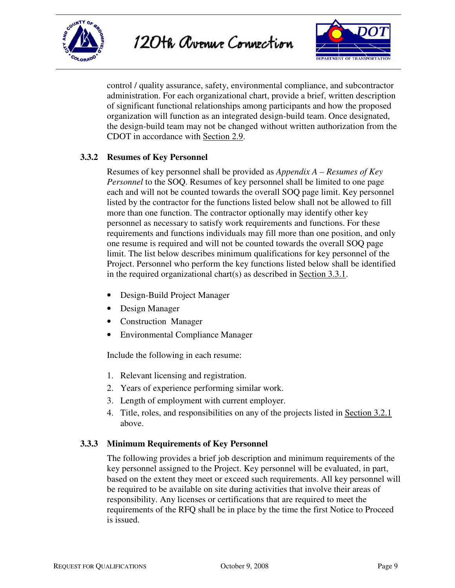



control / quality assurance, safety, environmental compliance, and subcontractor administration. For each organizational chart, provide a brief, written description of significant functional relationships among participants and how the proposed organization will function as an integrated design-build team. Once designated, the design-build team may not be changed without written authorization from the CDOT in accordance with Section 2.9.

#### **3.3.2 Resumes of Key Personnel**

Resumes of key personnel shall be provided as *Appendix A – Resumes of Key Personnel* to the SOQ. Resumes of key personnel shall be limited to one page each and will not be counted towards the overall SOQ page limit. Key personnel listed by the contractor for the functions listed below shall not be allowed to fill more than one function. The contractor optionally may identify other key personnel as necessary to satisfy work requirements and functions. For these requirements and functions individuals may fill more than one position, and only one resume is required and will not be counted towards the overall SOQ page limit. The list below describes minimum qualifications for key personnel of the Project. Personnel who perform the key functions listed below shall be identified in the required organizational chart(s) as described in Section 3.3.1.

- Design-Build Project Manager
- Design Manager
- Construction Manager
- Environmental Compliance Manager

Include the following in each resume:

- 1. Relevant licensing and registration.
- 2. Years of experience performing similar work.
- 3. Length of employment with current employer.
- 4. Title, roles, and responsibilities on any of the projects listed in Section 3.2.1 above.

#### **3.3.3 Minimum Requirements of Key Personnel**

The following provides a brief job description and minimum requirements of the key personnel assigned to the Project. Key personnel will be evaluated, in part, based on the extent they meet or exceed such requirements. All key personnel will be required to be available on site during activities that involve their areas of responsibility. Any licenses or certifications that are required to meet the requirements of the RFQ shall be in place by the time the first Notice to Proceed is issued.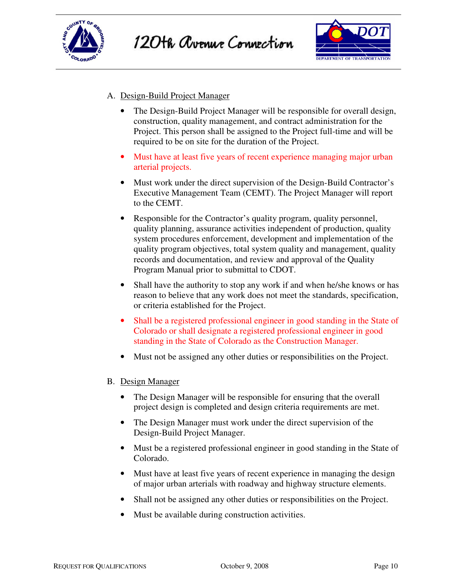



#### A. Design-Build Project Manager

- The Design-Build Project Manager will be responsible for overall design, construction, quality management, and contract administration for the Project. This person shall be assigned to the Project full-time and will be required to be on site for the duration of the Project.
- Must have at least five years of recent experience managing major urban arterial projects.
- Must work under the direct supervision of the Design-Build Contractor's Executive Management Team (CEMT). The Project Manager will report to the CEMT.
- Responsible for the Contractor's quality program, quality personnel, quality planning, assurance activities independent of production, quality system procedures enforcement, development and implementation of the quality program objectives, total system quality and management, quality records and documentation, and review and approval of the Quality Program Manual prior to submittal to CDOT.
- Shall have the authority to stop any work if and when he/she knows or has reason to believe that any work does not meet the standards, specification, or criteria established for the Project.
- Shall be a registered professional engineer in good standing in the State of Colorado or shall designate a registered professional engineer in good standing in the State of Colorado as the Construction Manager.
- Must not be assigned any other duties or responsibilities on the Project.

#### B. Design Manager

- The Design Manager will be responsible for ensuring that the overall project design is completed and design criteria requirements are met.
- The Design Manager must work under the direct supervision of the Design-Build Project Manager.
- Must be a registered professional engineer in good standing in the State of Colorado.
- Must have at least five years of recent experience in managing the design of major urban arterials with roadway and highway structure elements.
- Shall not be assigned any other duties or responsibilities on the Project.
- Must be available during construction activities.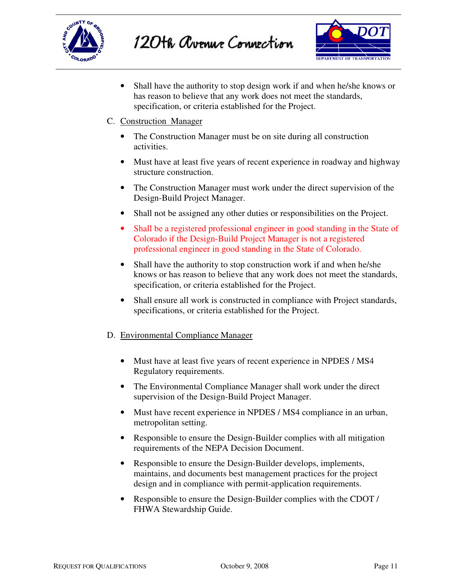



• Shall have the authority to stop design work if and when he/she knows or has reason to believe that any work does not meet the standards, specification, or criteria established for the Project.

#### C. Construction Manager

- The Construction Manager must be on site during all construction activities.
- Must have at least five years of recent experience in roadway and highway structure construction.
- The Construction Manager must work under the direct supervision of the Design-Build Project Manager.
- Shall not be assigned any other duties or responsibilities on the Project.
- Shall be a registered professional engineer in good standing in the State of Colorado if the Design-Build Project Manager is not a registered professional engineer in good standing in the State of Colorado.
- Shall have the authority to stop construction work if and when he/she knows or has reason to believe that any work does not meet the standards, specification, or criteria established for the Project.
- Shall ensure all work is constructed in compliance with Project standards, specifications, or criteria established for the Project.

#### D. Environmental Compliance Manager

- Must have at least five years of recent experience in NPDES / MS4 Regulatory requirements.
- The Environmental Compliance Manager shall work under the direct supervision of the Design-Build Project Manager.
- Must have recent experience in NPDES / MS4 compliance in an urban, metropolitan setting.
- Responsible to ensure the Design-Builder complies with all mitigation requirements of the NEPA Decision Document.
- Responsible to ensure the Design-Builder develops, implements, maintains, and documents best management practices for the project design and in compliance with permit-application requirements.
- Responsible to ensure the Design-Builder complies with the CDOT / FHWA Stewardship Guide.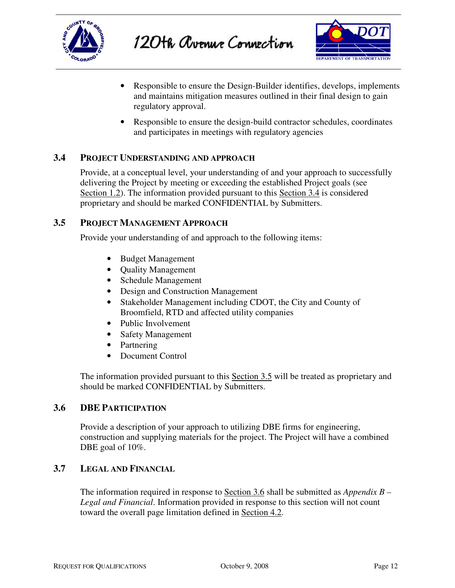



- Responsible to ensure the Design-Builder identifies, develops, implements and maintains mitigation measures outlined in their final design to gain regulatory approval.
- Responsible to ensure the design-build contractor schedules, coordinates and participates in meetings with regulatory agencies

#### **3.4 PROJECT UNDERSTANDING AND APPROACH**

Provide, at a conceptual level, your understanding of and your approach to successfully delivering the Project by meeting or exceeding the established Project goals (see Section 1.2). The information provided pursuant to this Section 3.4 is considered proprietary and should be marked CONFIDENTIAL by Submitters.

#### **3.5 PROJECT MANAGEMENT APPROACH**

Provide your understanding of and approach to the following items:

- Budget Management
- Quality Management
- Schedule Management
- Design and Construction Management
- Stakeholder Management including CDOT, the City and County of Broomfield, RTD and affected utility companies
- Public Involvement
- Safety Management
- Partnering
- Document Control

The information provided pursuant to this Section 3.5 will be treated as proprietary and should be marked CONFIDENTIAL by Submitters.

#### **3.6 DBE PARTICIPATION**

Provide a description of your approach to utilizing DBE firms for engineering, construction and supplying materials for the project. The Project will have a combined DBE goal of 10%.

#### **3.7 LEGAL AND FINANCIAL**

The information required in response to Section 3.6 shall be submitted as *Appendix B – Legal and Financial*. Information provided in response to this section will not count toward the overall page limitation defined in Section 4.2.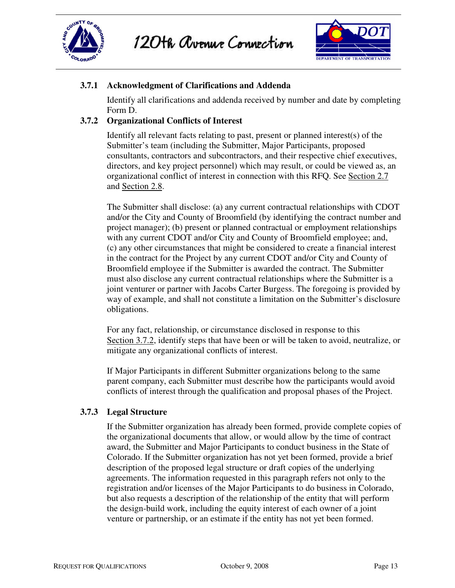



#### **3.7.1 Acknowledgment of Clarifications and Addenda**

Identify all clarifications and addenda received by number and date by completing Form D.

#### **3.7.2 Organizational Conflicts of Interest**

Identify all relevant facts relating to past, present or planned interest(s) of the Submitter's team (including the Submitter, Major Participants, proposed consultants, contractors and subcontractors, and their respective chief executives, directors, and key project personnel) which may result, or could be viewed as, an organizational conflict of interest in connection with this RFQ. See Section 2.7 and Section 2.8.

The Submitter shall disclose: (a) any current contractual relationships with CDOT and/or the City and County of Broomfield (by identifying the contract number and project manager); (b) present or planned contractual or employment relationships with any current CDOT and/or City and County of Broomfield employee; and, (c) any other circumstances that might be considered to create a financial interest in the contract for the Project by any current CDOT and/or City and County of Broomfield employee if the Submitter is awarded the contract. The Submitter must also disclose any current contractual relationships where the Submitter is a joint venturer or partner with Jacobs Carter Burgess. The foregoing is provided by way of example, and shall not constitute a limitation on the Submitter's disclosure obligations.

For any fact, relationship, or circumstance disclosed in response to this Section 3.7.2, identify steps that have been or will be taken to avoid, neutralize, or mitigate any organizational conflicts of interest.

If Major Participants in different Submitter organizations belong to the same parent company, each Submitter must describe how the participants would avoid conflicts of interest through the qualification and proposal phases of the Project.

#### **3.7.3 Legal Structure**

If the Submitter organization has already been formed, provide complete copies of the organizational documents that allow, or would allow by the time of contract award, the Submitter and Major Participants to conduct business in the State of Colorado. If the Submitter organization has not yet been formed, provide a brief description of the proposed legal structure or draft copies of the underlying agreements. The information requested in this paragraph refers not only to the registration and/or licenses of the Major Participants to do business in Colorado, but also requests a description of the relationship of the entity that will perform the design-build work, including the equity interest of each owner of a joint venture or partnership, or an estimate if the entity has not yet been formed.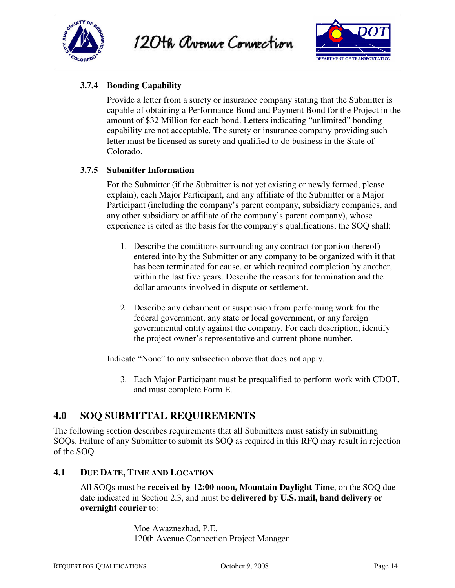





#### **3.7.4 Bonding Capability**

Provide a letter from a surety or insurance company stating that the Submitter is capable of obtaining a Performance Bond and Payment Bond for the Project in the amount of \$32 Million for each bond. Letters indicating "unlimited" bonding capability are not acceptable. The surety or insurance company providing such letter must be licensed as surety and qualified to do business in the State of Colorado.

#### **3.7.5 Submitter Information**

For the Submitter (if the Submitter is not yet existing or newly formed, please explain), each Major Participant, and any affiliate of the Submitter or a Major Participant (including the company's parent company, subsidiary companies, and any other subsidiary or affiliate of the company's parent company), whose experience is cited as the basis for the company's qualifications, the SOQ shall:

- 1. Describe the conditions surrounding any contract (or portion thereof) entered into by the Submitter or any company to be organized with it that has been terminated for cause, or which required completion by another, within the last five years. Describe the reasons for termination and the dollar amounts involved in dispute or settlement.
- 2. Describe any debarment or suspension from performing work for the federal government, any state or local government, or any foreign governmental entity against the company. For each description, identify the project owner's representative and current phone number.

Indicate "None" to any subsection above that does not apply.

3. Each Major Participant must be prequalified to perform work with CDOT, and must complete Form E.

### **4.0 SOQ SUBMITTAL REQUIREMENTS**

The following section describes requirements that all Submitters must satisfy in submitting SOQs. Failure of any Submitter to submit its SOQ as required in this RFQ may result in rejection of the SOQ.

#### **4.1 DUE DATE, TIME AND LOCATION**

All SOQs must be **received by 12:00 noon, Mountain Daylight Time**, on the SOQ due date indicated in Section 2.3, and must be **delivered by U.S. mail, hand delivery or overnight courier** to:

> Moe Awaznezhad, P.E. 120th Avenue Connection Project Manager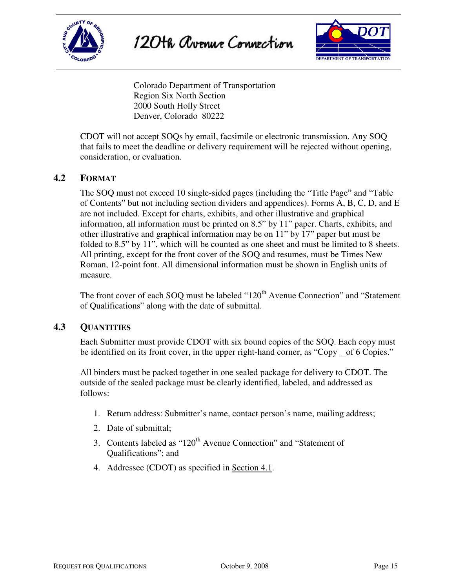





Colorado Department of Transportation Region Six North Section 2000 South Holly Street Denver, Colorado 80222

CDOT will not accept SOQs by email, facsimile or electronic transmission. Any SOQ that fails to meet the deadline or delivery requirement will be rejected without opening, consideration, or evaluation.

#### **4.2 FORMAT**

The SOQ must not exceed 10 single-sided pages (including the "Title Page" and "Table of Contents" but not including section dividers and appendices). Forms A, B, C, D, and E are not included. Except for charts, exhibits, and other illustrative and graphical information, all information must be printed on 8.5" by 11" paper. Charts, exhibits, and other illustrative and graphical information may be on 11" by 17" paper but must be folded to 8.5" by 11", which will be counted as one sheet and must be limited to 8 sheets. All printing, except for the front cover of the SOQ and resumes, must be Times New Roman, 12-point font. All dimensional information must be shown in English units of measure.

The front cover of each SOQ must be labeled "120<sup>th</sup> Avenue Connection" and "Statement" of Qualifications" along with the date of submittal.

#### **4.3 QUANTITIES**

Each Submitter must provide CDOT with six bound copies of the SOQ. Each copy must be identified on its front cover, in the upper right-hand corner, as "Copy of 6 Copies."

All binders must be packed together in one sealed package for delivery to CDOT. The outside of the sealed package must be clearly identified, labeled, and addressed as follows:

- 1. Return address: Submitter's name, contact person's name, mailing address;
- 2. Date of submittal;
- 3. Contents labeled as "120<sup>th</sup> Avenue Connection" and "Statement of Qualifications"; and
- 4. Addressee (CDOT) as specified in Section 4.1.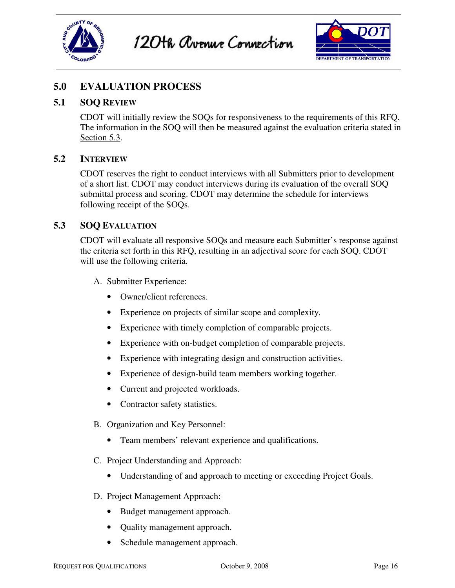





### **5.0 EVALUATION PROCESS**

#### **5.1 SOQ REVIEW**

CDOT will initially review the SOQs for responsiveness to the requirements of this RFQ. The information in the SOQ will then be measured against the evaluation criteria stated in Section 5.3.

#### **5.2 INTERVIEW**

CDOT reserves the right to conduct interviews with all Submitters prior to development of a short list. CDOT may conduct interviews during its evaluation of the overall SOQ submittal process and scoring. CDOT may determine the schedule for interviews following receipt of the SOQs.

#### **5.3 SOQ EVALUATION**

CDOT will evaluate all responsive SOQs and measure each Submitter's response against the criteria set forth in this RFQ, resulting in an adjectival score for each SOQ. CDOT will use the following criteria.

- A. Submitter Experience:
	- Owner/client references.
	- Experience on projects of similar scope and complexity.
	- Experience with timely completion of comparable projects.
	- Experience with on-budget completion of comparable projects.
	- Experience with integrating design and construction activities.
	- Experience of design-build team members working together.
	- Current and projected workloads.
	- Contractor safety statistics.
- B. Organization and Key Personnel:
	- Team members' relevant experience and qualifications.
- C. Project Understanding and Approach:
	- Understanding of and approach to meeting or exceeding Project Goals.
- D. Project Management Approach:
	- Budget management approach.
	- Quality management approach.
	- Schedule management approach.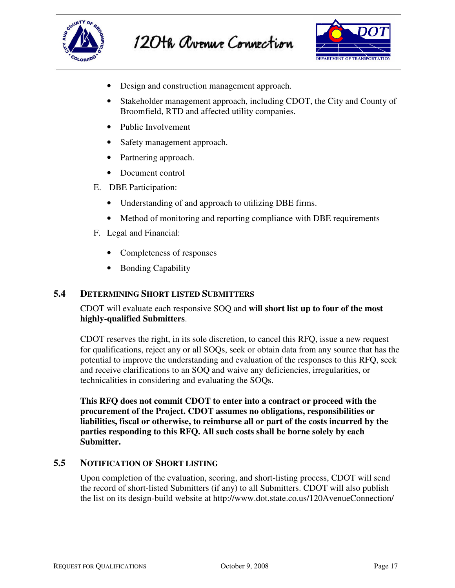



- Design and construction management approach.
- Stakeholder management approach, including CDOT, the City and County of Broomfield, RTD and affected utility companies.
- Public Involvement
- Safety management approach.
- Partnering approach.
- Document control
- E. DBE Participation:
	- Understanding of and approach to utilizing DBE firms.
	- Method of monitoring and reporting compliance with DBE requirements
- F. Legal and Financial:
	- Completeness of responses
	- Bonding Capability

#### **5.4 DETERMINING SHORT LISTED SUBMITTERS**

CDOT will evaluate each responsive SOQ and **will short list up to four of the most highly-qualified Submitters**.

CDOT reserves the right, in its sole discretion, to cancel this RFQ, issue a new request for qualifications, reject any or all SOQs, seek or obtain data from any source that has the potential to improve the understanding and evaluation of the responses to this RFQ, seek and receive clarifications to an SOQ and waive any deficiencies, irregularities, or technicalities in considering and evaluating the SOQs.

**This RFQ does not commit CDOT to enter into a contract or proceed with the procurement of the Project. CDOT assumes no obligations, responsibilities or liabilities, fiscal or otherwise, to reimburse all or part of the costs incurred by the parties responding to this RFQ. All such costs shall be borne solely by each Submitter.** 

#### **5.5 NOTIFICATION OF SHORT LISTING**

Upon completion of the evaluation, scoring, and short-listing process, CDOT will send the record of short-listed Submitters (if any) to all Submitters. CDOT will also publish the list on its design-build website at http://www.dot.state.co.us/120AvenueConnection/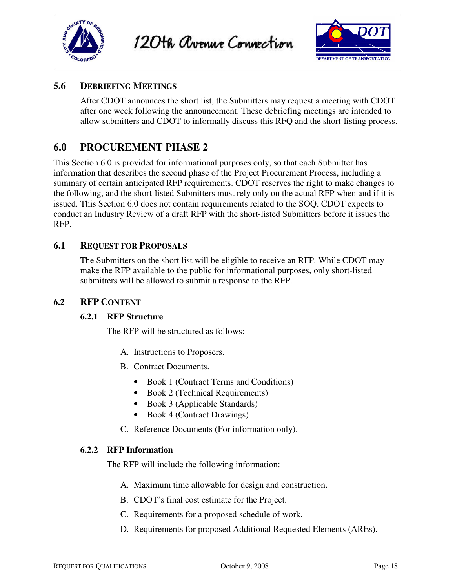

120th avenue Connection



#### **5.6 DEBRIEFING MEETINGS**

After CDOT announces the short list, the Submitters may request a meeting with CDOT after one week following the announcement. These debriefing meetings are intended to allow submitters and CDOT to informally discuss this RFQ and the short-listing process.

### **6.0 PROCUREMENT PHASE 2**

This Section 6.0 is provided for informational purposes only, so that each Submitter has information that describes the second phase of the Project Procurement Process, including a summary of certain anticipated RFP requirements. CDOT reserves the right to make changes to the following, and the short-listed Submitters must rely only on the actual RFP when and if it is issued. This Section 6.0 does not contain requirements related to the SOQ. CDOT expects to conduct an Industry Review of a draft RFP with the short-listed Submitters before it issues the RFP.

#### **6.1 REQUEST FOR PROPOSALS**

The Submitters on the short list will be eligible to receive an RFP. While CDOT may make the RFP available to the public for informational purposes, only short-listed submitters will be allowed to submit a response to the RFP.

#### **6.2 RFP CONTENT**

#### **6.2.1 RFP Structure**

The RFP will be structured as follows:

- A. Instructions to Proposers.
- B. Contract Documents.
	- Book 1 (Contract Terms and Conditions)
	- Book 2 (Technical Requirements)
	- Book 3 (Applicable Standards)
	- Book 4 (Contract Drawings)
- C. Reference Documents (For information only).

#### **6.2.2 RFP Information**

The RFP will include the following information:

- A. Maximum time allowable for design and construction.
- B. CDOT's final cost estimate for the Project.
- C. Requirements for a proposed schedule of work.
- D. Requirements for proposed Additional Requested Elements (AREs).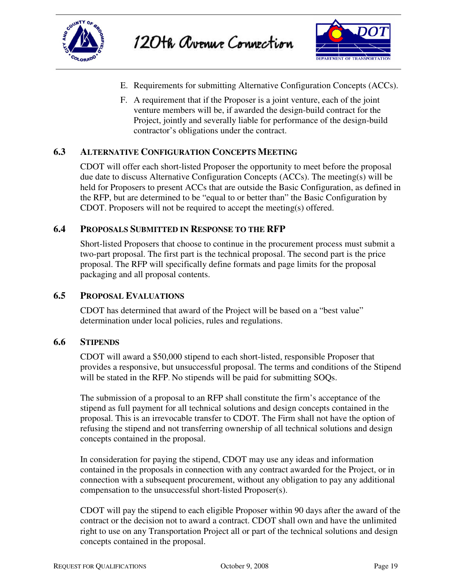



- E. Requirements for submitting Alternative Configuration Concepts (ACCs).
- F. A requirement that if the Proposer is a joint venture, each of the joint venture members will be, if awarded the design-build contract for the Project, jointly and severally liable for performance of the design-build contractor's obligations under the contract.

#### **6.3 ALTERNATIVE CONFIGURATION CONCEPTS MEETING**

CDOT will offer each short-listed Proposer the opportunity to meet before the proposal due date to discuss Alternative Configuration Concepts (ACCs). The meeting(s) will be held for Proposers to present ACCs that are outside the Basic Configuration, as defined in the RFP, but are determined to be "equal to or better than" the Basic Configuration by CDOT. Proposers will not be required to accept the meeting(s) offered.

#### **6.4 PROPOSALS SUBMITTED IN RESPONSE TO THE RFP**

Short-listed Proposers that choose to continue in the procurement process must submit a two-part proposal. The first part is the technical proposal. The second part is the price proposal. The RFP will specifically define formats and page limits for the proposal packaging and all proposal contents.

#### **6.5 PROPOSAL EVALUATIONS**

CDOT has determined that award of the Project will be based on a "best value" determination under local policies, rules and regulations.

#### **6.6 STIPENDS**

CDOT will award a \$50,000 stipend to each short-listed, responsible Proposer that provides a responsive, but unsuccessful proposal. The terms and conditions of the Stipend will be stated in the RFP. No stipends will be paid for submitting SOQs.

The submission of a proposal to an RFP shall constitute the firm's acceptance of the stipend as full payment for all technical solutions and design concepts contained in the proposal. This is an irrevocable transfer to CDOT. The Firm shall not have the option of refusing the stipend and not transferring ownership of all technical solutions and design concepts contained in the proposal.

In consideration for paying the stipend, CDOT may use any ideas and information contained in the proposals in connection with any contract awarded for the Project, or in connection with a subsequent procurement, without any obligation to pay any additional compensation to the unsuccessful short-listed Proposer(s).

CDOT will pay the stipend to each eligible Proposer within 90 days after the award of the contract or the decision not to award a contract. CDOT shall own and have the unlimited right to use on any Transportation Project all or part of the technical solutions and design concepts contained in the proposal.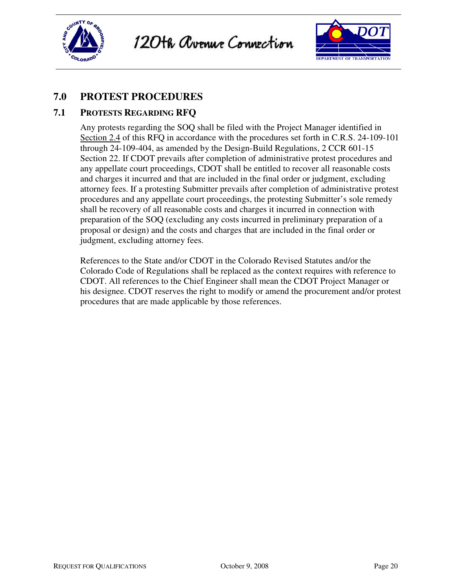

120th Avenue Connection



### **7.0 PROTEST PROCEDURES**

#### **7.1 PROTESTS REGARDING RFQ**

Any protests regarding the SOQ shall be filed with the Project Manager identified in Section 2.4 of this RFQ in accordance with the procedures set forth in C.R.S. 24-109-101 through 24-109-404, as amended by the Design-Build Regulations, 2 CCR 601-15 Section 22. If CDOT prevails after completion of administrative protest procedures and any appellate court proceedings, CDOT shall be entitled to recover all reasonable costs and charges it incurred and that are included in the final order or judgment, excluding attorney fees. If a protesting Submitter prevails after completion of administrative protest procedures and any appellate court proceedings, the protesting Submitter's sole remedy shall be recovery of all reasonable costs and charges it incurred in connection with preparation of the SOQ (excluding any costs incurred in preliminary preparation of a proposal or design) and the costs and charges that are included in the final order or judgment, excluding attorney fees.

References to the State and/or CDOT in the Colorado Revised Statutes and/or the Colorado Code of Regulations shall be replaced as the context requires with reference to CDOT. All references to the Chief Engineer shall mean the CDOT Project Manager or his designee. CDOT reserves the right to modify or amend the procurement and/or protest procedures that are made applicable by those references.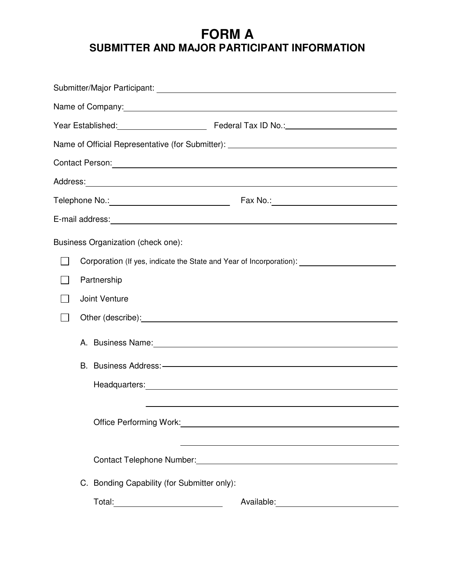# **FORM A SUBMITTER AND MAJOR PARTICIPANT INFORMATION**

|                                                                                                                                                                                                                                      |                                               | Name of Company: <u>companies</u>                                                                                                                                                                                              |  |
|--------------------------------------------------------------------------------------------------------------------------------------------------------------------------------------------------------------------------------------|-----------------------------------------------|--------------------------------------------------------------------------------------------------------------------------------------------------------------------------------------------------------------------------------|--|
|                                                                                                                                                                                                                                      |                                               |                                                                                                                                                                                                                                |  |
|                                                                                                                                                                                                                                      |                                               | Name of Official Representative (for Submitter): _______________________________                                                                                                                                               |  |
|                                                                                                                                                                                                                                      |                                               |                                                                                                                                                                                                                                |  |
|                                                                                                                                                                                                                                      |                                               |                                                                                                                                                                                                                                |  |
|                                                                                                                                                                                                                                      | Telephone No.: ______________________________ |                                                                                                                                                                                                                                |  |
|                                                                                                                                                                                                                                      |                                               |                                                                                                                                                                                                                                |  |
|                                                                                                                                                                                                                                      | Business Organization (check one):            |                                                                                                                                                                                                                                |  |
|                                                                                                                                                                                                                                      |                                               | Corporation (If yes, indicate the State and Year of Incorporation): 2000 2010 2010                                                                                                                                             |  |
|                                                                                                                                                                                                                                      | Partnership                                   |                                                                                                                                                                                                                                |  |
| Joint Venture                                                                                                                                                                                                                        |                                               |                                                                                                                                                                                                                                |  |
| Other (describe): <u>contract and a set of the set of the set of the set of the set of the set of the set of the set of the set of the set of the set of the set of the set of the set of the set of the set of the set of the s</u> |                                               |                                                                                                                                                                                                                                |  |
|                                                                                                                                                                                                                                      |                                               | A. Business Name: 1990 Manual Communication of the Manual Communication of A. Business Name: 1991                                                                                                                              |  |
|                                                                                                                                                                                                                                      |                                               | B. Business Address: - Contract Contract Contract Contract Contract Contract Contract Contract Contract Contract Contract Contract Contract Contract Contract Contract Contract Contract Contract Contract Contract Contract C |  |
|                                                                                                                                                                                                                                      |                                               |                                                                                                                                                                                                                                |  |
|                                                                                                                                                                                                                                      |                                               |                                                                                                                                                                                                                                |  |
| Office Performing Work:<br><u> Office Performing Work:</u>                                                                                                                                                                           |                                               |                                                                                                                                                                                                                                |  |
|                                                                                                                                                                                                                                      |                                               | <u> 1989 - Johann Stoff, deutscher Stoffen und der Stoffen und der Stoffen und der Stoffen und der Stoffen und der</u>                                                                                                         |  |
|                                                                                                                                                                                                                                      |                                               | Contact Telephone Number:<br><u> Contact Telephone Number:</u>                                                                                                                                                                 |  |
|                                                                                                                                                                                                                                      | C. Bonding Capability (for Submitter only):   |                                                                                                                                                                                                                                |  |
|                                                                                                                                                                                                                                      |                                               |                                                                                                                                                                                                                                |  |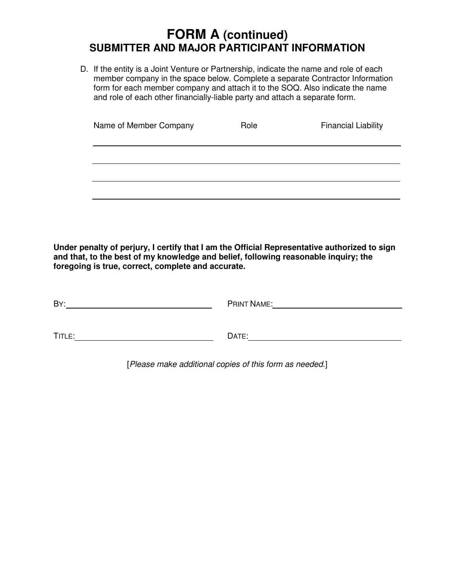# **FORM A (continued) SUBMITTER AND MAJOR PARTICIPANT INFORMATION**

D. If the entity is a Joint Venture or Partnership, indicate the name and role of each member company in the space below. Complete a separate Contractor Information form for each member company and attach it to the SOQ. Also indicate the name and role of each other financially-liable party and attach a separate form.

| Name of Member Company | Role | <b>Financial Liability</b> |
|------------------------|------|----------------------------|
|                        |      |                            |
|                        |      |                            |
|                        |      |                            |

**Under penalty of perjury, I certify that I am the Official Representative authorized to sign and that, to the best of my knowledge and belief, following reasonable inquiry; the foregoing is true, correct, complete and accurate.** 

| BY:    | <b>PRINT NAME:</b> |
|--------|--------------------|
|        |                    |
| TITLE: | DATE:              |

[Please make additional copies of this form as needed.]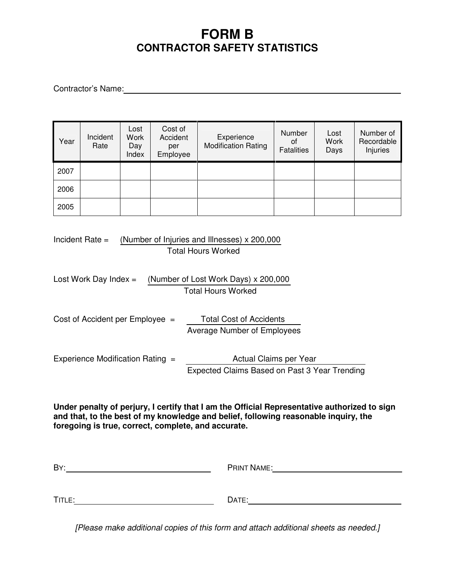# **FORM B CONTRACTOR SAFETY STATISTICS**

Contractor's Name: Contractor's Name:

| Year | Incident<br>Rate | Lost<br>Work<br>Day<br>Index | Cost of<br>Accident<br>per<br>Employee | Experience<br><b>Modification Rating</b> | Number<br>Οf<br><b>Fatalities</b> | Lost<br><b>Work</b><br>Days | Number of<br>Recordable<br>Injuries |
|------|------------------|------------------------------|----------------------------------------|------------------------------------------|-----------------------------------|-----------------------------|-------------------------------------|
| 2007 |                  |                              |                                        |                                          |                                   |                             |                                     |
| 2006 |                  |                              |                                        |                                          |                                   |                             |                                     |
| 2005 |                  |                              |                                        |                                          |                                   |                             |                                     |

Incident Rate = (Number of Injuries and Illnesses) x 200,000 Total Hours Worked

| Lost Work Day Index = $(Number of Lost Work Days) \times 200,000$ |
|-------------------------------------------------------------------|
| <b>Total Hours Worked</b>                                         |

Cost of Accident per Employee = Total Cost of Accidents Average Number of Employees

| Experience Modification Rating = | Actual Claims per Year                        |
|----------------------------------|-----------------------------------------------|
|                                  | Expected Claims Based on Past 3 Year Trending |

**Under penalty of perjury, I certify that I am the Official Representative authorized to sign and that, to the best of my knowledge and belief, following reasonable inquiry, the foregoing is true, correct, complete, and accurate.**

| BY:    | <b>PRINT NAME:</b> |
|--------|--------------------|
|        |                    |
| TITLE: | DATE:              |
|        |                    |

[Please make additional copies of this form and attach additional sheets as needed.]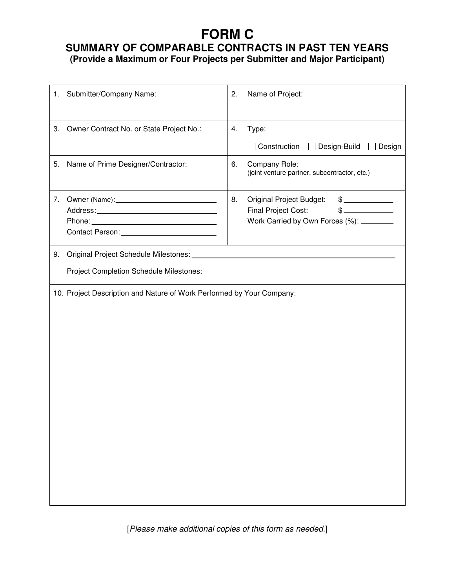# **FORM C**

# **SUMMARY OF COMPARABLE CONTRACTS IN PAST TEN YEARS**

**(Provide a Maximum or Four Projects per Submitter and Major Participant)** 

|    | 1. Submitter/Company Name:                                            | 2. | Name of Project:                                                                                                                    |
|----|-----------------------------------------------------------------------|----|-------------------------------------------------------------------------------------------------------------------------------------|
| 3. | Owner Contract No. or State Project No.:                              | 4. | Type:<br>Construction<br>Design-Build<br>$\Box$ Design<br>$\perp$                                                                   |
| 5. | Name of Prime Designer/Contractor:                                    | 6. | Company Role:<br>(joint venture partner, subcontractor, etc.)                                                                       |
| 7. |                                                                       | 8. | Original Project Budget:<br>$\frac{1}{2}$<br>$\frac{1}{2}$<br><b>Final Project Cost:</b><br>Work Carried by Own Forces (%): _______ |
| 9. |                                                                       |    |                                                                                                                                     |
|    | 10. Project Description and Nature of Work Performed by Your Company: |    |                                                                                                                                     |

[Please make additional copies of this form as needed.]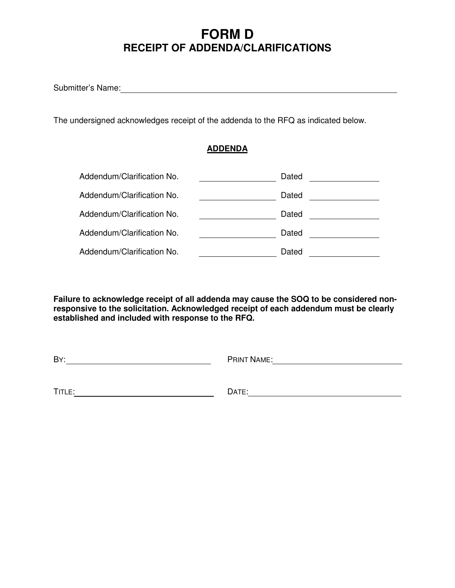# **FORM D RECEIPT OF ADDENDA/CLARIFICATIONS**

Submitter's Name:

The undersigned acknowledges receipt of the addenda to the RFQ as indicated below.

#### **ADDENDA**

| Addendum/Clarification No. | Dated |
|----------------------------|-------|
| Addendum/Clarification No. | Dated |
| Addendum/Clarification No. | Dated |
| Addendum/Clarification No. | Dated |
| Addendum/Clarification No. | Dated |

**Failure to acknowledge receipt of all addenda may cause the SOQ to be considered nonresponsive to the solicitation. Acknowledged receipt of each addendum must be clearly established and included with response to the RFQ.** 

| BY:    | <b>PRINT NAME:</b> |
|--------|--------------------|
|        |                    |
|        |                    |
| TITLE: | DATE:              |